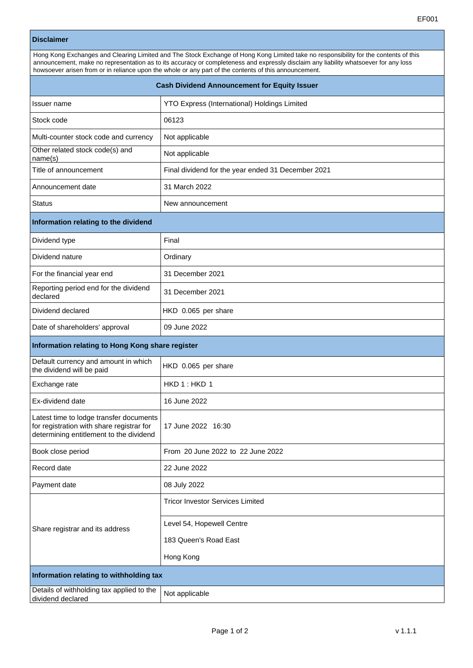|                                                                                                                                                                                                                                                                                                                                                                                       | EF001                                               |  |
|---------------------------------------------------------------------------------------------------------------------------------------------------------------------------------------------------------------------------------------------------------------------------------------------------------------------------------------------------------------------------------------|-----------------------------------------------------|--|
| <b>Disclaimer</b>                                                                                                                                                                                                                                                                                                                                                                     |                                                     |  |
| Hong Kong Exchanges and Clearing Limited and The Stock Exchange of Hong Kong Limited take no responsibility for the contents of this<br>announcement, make no representation as to its accuracy or completeness and expressly disclaim any liability whatsoever for any loss<br>howsoever arisen from or in reliance upon the whole or any part of the contents of this announcement. |                                                     |  |
| <b>Cash Dividend Announcement for Equity Issuer</b>                                                                                                                                                                                                                                                                                                                                   |                                                     |  |
| Issuer name                                                                                                                                                                                                                                                                                                                                                                           | <b>YTO Express (International) Holdings Limited</b> |  |
| Stock code                                                                                                                                                                                                                                                                                                                                                                            | 06123                                               |  |
| Multi-counter stock code and currency                                                                                                                                                                                                                                                                                                                                                 | Not applicable                                      |  |
| Other related stock code(s) and<br>name(s)                                                                                                                                                                                                                                                                                                                                            | Not applicable                                      |  |
| Title of announcement                                                                                                                                                                                                                                                                                                                                                                 | Final dividend for the year ended 31 December 2021  |  |
| Announcement date                                                                                                                                                                                                                                                                                                                                                                     | 31 March 2022                                       |  |
| Status                                                                                                                                                                                                                                                                                                                                                                                | New announcement                                    |  |
| Information relating to the dividend                                                                                                                                                                                                                                                                                                                                                  |                                                     |  |
| Dividend type                                                                                                                                                                                                                                                                                                                                                                         | Final                                               |  |
| Dividend nature                                                                                                                                                                                                                                                                                                                                                                       | Ordinary                                            |  |
| For the financial year end                                                                                                                                                                                                                                                                                                                                                            | 31 December 2021                                    |  |
| Reporting period end for the dividend<br>declared                                                                                                                                                                                                                                                                                                                                     | 31 December 2021                                    |  |
| Dividend declared                                                                                                                                                                                                                                                                                                                                                                     | HKD 0.065 per share                                 |  |
| Date of shareholders' approval                                                                                                                                                                                                                                                                                                                                                        | 09 June 2022                                        |  |
| Information relating to Hong Kong share register                                                                                                                                                                                                                                                                                                                                      |                                                     |  |
| Default currency and amount in which<br>the dividend will be paid                                                                                                                                                                                                                                                                                                                     | HKD 0.065 per share                                 |  |
| Exchange rate                                                                                                                                                                                                                                                                                                                                                                         | HKD 1: HKD 1                                        |  |
| Ex-dividend date                                                                                                                                                                                                                                                                                                                                                                      | 16 June 2022                                        |  |
| Latest time to lodge transfer documents<br>for registration with share registrar for<br>determining entitlement to the dividend                                                                                                                                                                                                                                                       | 17 June 2022 16:30                                  |  |
| Book close period                                                                                                                                                                                                                                                                                                                                                                     | From 20 June 2022 to 22 June 2022                   |  |
| Record date                                                                                                                                                                                                                                                                                                                                                                           | 22 June 2022                                        |  |

|  | Share registrar and its address                                | <b>Tricor Investor Services Limited</b> |
|--|----------------------------------------------------------------|-----------------------------------------|
|  |                                                                | Level 54, Hopewell Centre               |
|  |                                                                | 183 Queen's Road East                   |
|  |                                                                | Hong Kong                               |
|  | Information relating to withholding tax                        |                                         |
|  | Details of withholding tax applied to the<br>dividend declared | Not applicable                          |
|  |                                                                |                                         |

 $\sqrt{P}$  Payment date  $\sqrt{Q}$  08 July 2022